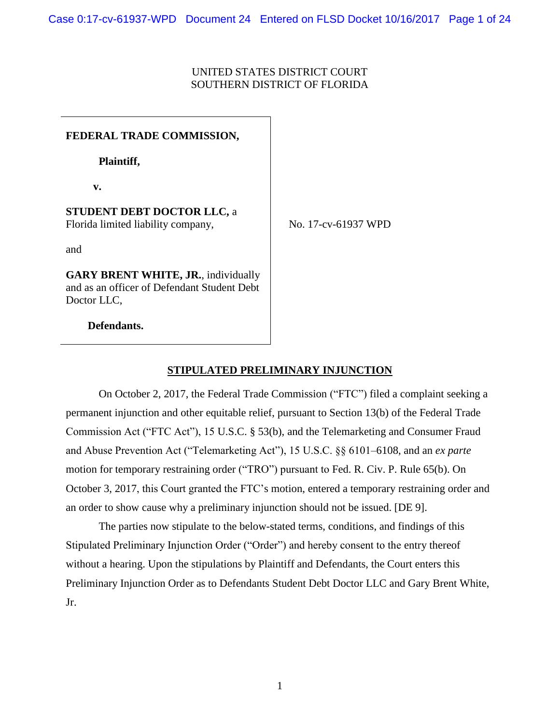## UNITED STATES DISTRICT COURT SOUTHERN DISTRICT OF FLORIDA

**FEDERAL TRADE COMMISSION, Plaintiff, v. STUDENT DEBT DOCTOR LLC,** a Florida limited liability company, and **GARY BRENT WHITE, JR.**, individually and as an officer of Defendant Student Debt Doctor LLC.

No. 17-cv-61937 WPD

 **Defendants.**

## **STIPULATED PRELIMINARY INJUNCTION**

On October 2, 2017, the Federal Trade Commission ("FTC") filed a complaint seeking a permanent injunction and other equitable relief, pursuant to Section 13(b) of the Federal Trade Commission Act ("FTC Act"), 15 U.S.C. § 53(b), and the Telemarketing and Consumer Fraud and Abuse Prevention Act ("Telemarketing Act"), 15 U.S.C. §§ 6101–6108, and an *ex parte* motion for temporary restraining order ("TRO") pursuant to Fed. R. Civ. P. Rule 65(b). On October 3, 2017, this Court granted the FTC's motion, entered a temporary restraining order and an order to show cause why a preliminary injunction should not be issued. [DE 9].

The parties now stipulate to the below-stated terms, conditions, and findings of this Stipulated Preliminary Injunction Order ("Order") and hereby consent to the entry thereof without a hearing. Upon the stipulations by Plaintiff and Defendants, the Court enters this Preliminary Injunction Order as to Defendants Student Debt Doctor LLC and Gary Brent White, Jr.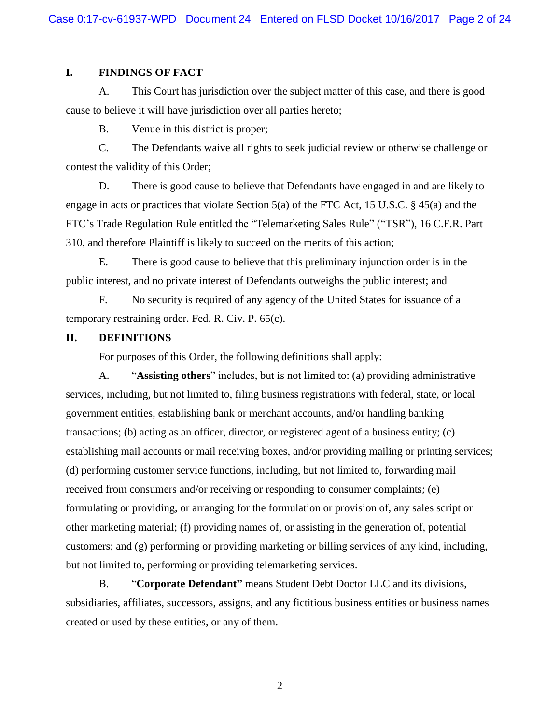### **I. FINDINGS OF FACT**

A. This Court has jurisdiction over the subject matter of this case, and there is good cause to believe it will have jurisdiction over all parties hereto;

B. Venue in this district is proper;

C. The Defendants waive all rights to seek judicial review or otherwise challenge or contest the validity of this Order;

D. There is good cause to believe that Defendants have engaged in and are likely to engage in acts or practices that violate Section 5(a) of the FTC Act, 15 U.S.C. § 45(a) and the FTC's Trade Regulation Rule entitled the "Telemarketing Sales Rule" ("TSR"), 16 C.F.R. Part 310, and therefore Plaintiff is likely to succeed on the merits of this action;

E. There is good cause to believe that this preliminary injunction order is in the public interest, and no private interest of Defendants outweighs the public interest; and

F. No security is required of any agency of the United States for issuance of a temporary restraining order. Fed. R. Civ. P. 65(c).

#### **II. DEFINITIONS**

For purposes of this Order, the following definitions shall apply:

A. "**Assisting others**" includes, but is not limited to: (a) providing administrative services, including, but not limited to, filing business registrations with federal, state, or local government entities, establishing bank or merchant accounts, and/or handling banking transactions; (b) acting as an officer, director, or registered agent of a business entity; (c) establishing mail accounts or mail receiving boxes, and/or providing mailing or printing services; (d) performing customer service functions, including, but not limited to, forwarding mail received from consumers and/or receiving or responding to consumer complaints; (e) formulating or providing, or arranging for the formulation or provision of, any sales script or other marketing material; (f) providing names of, or assisting in the generation of, potential customers; and (g) performing or providing marketing or billing services of any kind, including, but not limited to, performing or providing telemarketing services.

B. "**Corporate Defendant"** means Student Debt Doctor LLC and its divisions, subsidiaries, affiliates, successors, assigns, and any fictitious business entities or business names created or used by these entities, or any of them.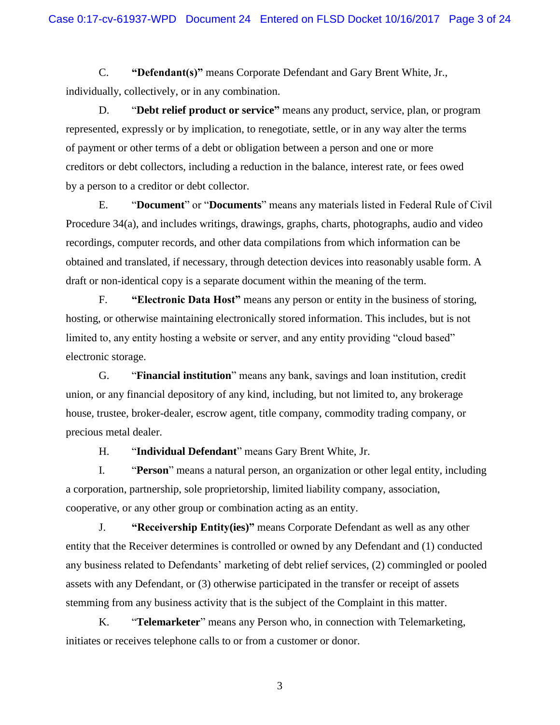C. **"Defendant(s)"** means Corporate Defendant and Gary Brent White, Jr., individually, collectively, or in any combination.

D. "**Debt relief product or service"** means any product, service, plan, or program represented, expressly or by implication, to renegotiate, settle, or in any way alter the terms of payment or other terms of a debt or obligation between a person and one or more creditors or debt collectors, including a reduction in the balance, interest rate, or fees owed by a person to a creditor or debt collector.

E. "**Document**" or "**Documents**" means any materials listed in Federal Rule of Civil Procedure 34(a), and includes writings, drawings, graphs, charts, photographs, audio and video recordings, computer records, and other data compilations from which information can be obtained and translated, if necessary, through detection devices into reasonably usable form. A draft or non-identical copy is a separate document within the meaning of the term.

F. **"Electronic Data Host"** means any person or entity in the business of storing, hosting, or otherwise maintaining electronically stored information. This includes, but is not limited to, any entity hosting a website or server, and any entity providing "cloud based" electronic storage.

G. "**Financial institution**" means any bank, savings and loan institution, credit union, or any financial depository of any kind, including, but not limited to, any brokerage house, trustee, broker-dealer, escrow agent, title company, commodity trading company, or precious metal dealer.

H. "**Individual Defendant**" means Gary Brent White, Jr.

I. "**Person**" means a natural person, an organization or other legal entity, including a corporation, partnership, sole proprietorship, limited liability company, association, cooperative, or any other group or combination acting as an entity.

J. **"Receivership Entity(ies)"** means Corporate Defendant as well as any other entity that the Receiver determines is controlled or owned by any Defendant and (1) conducted any business related to Defendants' marketing of debt relief services, (2) commingled or pooled assets with any Defendant, or (3) otherwise participated in the transfer or receipt of assets stemming from any business activity that is the subject of the Complaint in this matter.

K. "**Telemarketer**" means any Person who, in connection with Telemarketing, initiates or receives telephone calls to or from a customer or donor.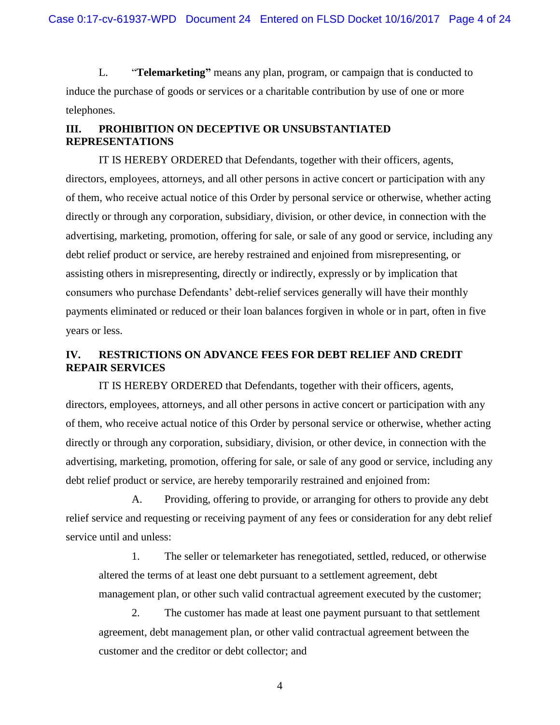L. "**Telemarketing"** means any plan, program, or campaign that is conducted to induce the purchase of goods or services or a charitable contribution by use of one or more telephones.

## **III. PROHIBITION ON DECEPTIVE OR UNSUBSTANTIATED REPRESENTATIONS**

IT IS HEREBY ORDERED that Defendants, together with their officers, agents, directors, employees, attorneys, and all other persons in active concert or participation with any of them, who receive actual notice of this Order by personal service or otherwise, whether acting directly or through any corporation, subsidiary, division, or other device, in connection with the advertising, marketing, promotion, offering for sale, or sale of any good or service, including any debt relief product or service, are hereby restrained and enjoined from misrepresenting, or assisting others in misrepresenting, directly or indirectly, expressly or by implication that consumers who purchase Defendants' debt-relief services generally will have their monthly payments eliminated or reduced or their loan balances forgiven in whole or in part, often in five years or less.

## **IV. RESTRICTIONS ON ADVANCE FEES FOR DEBT RELIEF AND CREDIT REPAIR SERVICES**

IT IS HEREBY ORDERED that Defendants, together with their officers, agents, directors, employees, attorneys, and all other persons in active concert or participation with any of them, who receive actual notice of this Order by personal service or otherwise, whether acting directly or through any corporation, subsidiary, division, or other device, in connection with the advertising, marketing, promotion, offering for sale, or sale of any good or service, including any debt relief product or service, are hereby temporarily restrained and enjoined from:

A. Providing, offering to provide, or arranging for others to provide any debt relief service and requesting or receiving payment of any fees or consideration for any debt relief service until and unless:

1. The seller or telemarketer has renegotiated, settled, reduced, or otherwise altered the terms of at least one debt pursuant to a settlement agreement, debt management plan, or other such valid contractual agreement executed by the customer;

2. The customer has made at least one payment pursuant to that settlement agreement, debt management plan, or other valid contractual agreement between the customer and the creditor or debt collector; and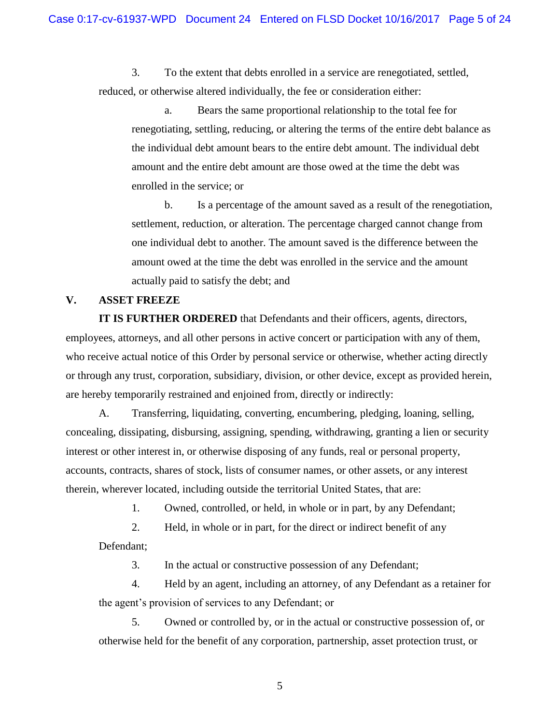3. To the extent that debts enrolled in a service are renegotiated, settled, reduced, or otherwise altered individually, the fee or consideration either:

a. Bears the same proportional relationship to the total fee for renegotiating, settling, reducing, or altering the terms of the entire debt balance as the individual debt amount bears to the entire debt amount. The individual debt amount and the entire debt amount are those owed at the time the debt was enrolled in the service; or

b. Is a percentage of the amount saved as a result of the renegotiation, settlement, reduction, or alteration. The percentage charged cannot change from one individual debt to another. The amount saved is the difference between the amount owed at the time the debt was enrolled in the service and the amount actually paid to satisfy the debt; and

#### **V. ASSET FREEZE**

**IT IS FURTHER ORDERED** that Defendants and their officers, agents, directors, employees, attorneys, and all other persons in active concert or participation with any of them, who receive actual notice of this Order by personal service or otherwise, whether acting directly or through any trust, corporation, subsidiary, division, or other device, except as provided herein, are hereby temporarily restrained and enjoined from, directly or indirectly:

A. Transferring, liquidating, converting, encumbering, pledging, loaning, selling, concealing, dissipating, disbursing, assigning, spending, withdrawing, granting a lien or security interest or other interest in, or otherwise disposing of any funds, real or personal property, accounts, contracts, shares of stock, lists of consumer names, or other assets, or any interest therein, wherever located, including outside the territorial United States, that are:

1. Owned, controlled, or held, in whole or in part, by any Defendant;

2. Held, in whole or in part, for the direct or indirect benefit of any

Defendant;

3. In the actual or constructive possession of any Defendant;

4. Held by an agent, including an attorney, of any Defendant as a retainer for the agent's provision of services to any Defendant; or

5. Owned or controlled by, or in the actual or constructive possession of, or otherwise held for the benefit of any corporation, partnership, asset protection trust, or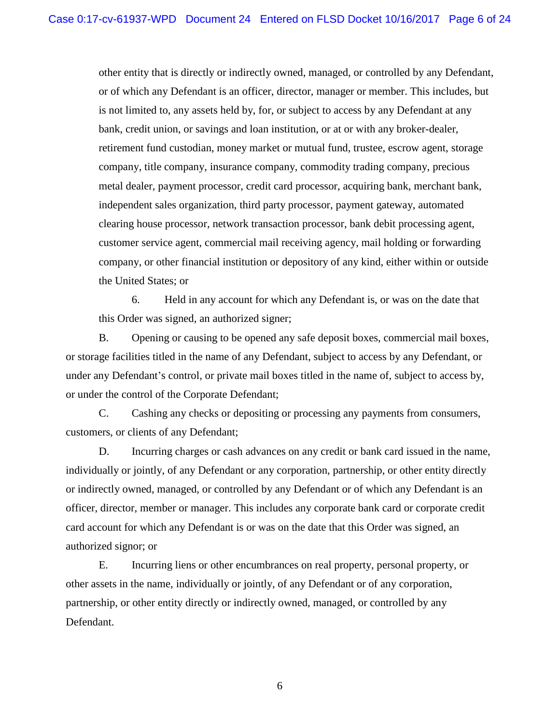other entity that is directly or indirectly owned, managed, or controlled by any Defendant, or of which any Defendant is an officer, director, manager or member. This includes, but is not limited to, any assets held by, for, or subject to access by any Defendant at any bank, credit union, or savings and loan institution, or at or with any broker-dealer, retirement fund custodian, money market or mutual fund, trustee, escrow agent, storage company, title company, insurance company, commodity trading company, precious metal dealer, payment processor, credit card processor, acquiring bank, merchant bank, independent sales organization, third party processor, payment gateway, automated clearing house processor, network transaction processor, bank debit processing agent, customer service agent, commercial mail receiving agency, mail holding or forwarding company, or other financial institution or depository of any kind, either within or outside the United States; or

6. Held in any account for which any Defendant is, or was on the date that this Order was signed, an authorized signer;

B. Opening or causing to be opened any safe deposit boxes, commercial mail boxes, or storage facilities titled in the name of any Defendant, subject to access by any Defendant, or under any Defendant's control, or private mail boxes titled in the name of, subject to access by, or under the control of the Corporate Defendant;

C. Cashing any checks or depositing or processing any payments from consumers, customers, or clients of any Defendant;

D. Incurring charges or cash advances on any credit or bank card issued in the name, individually or jointly, of any Defendant or any corporation, partnership, or other entity directly or indirectly owned, managed, or controlled by any Defendant or of which any Defendant is an officer, director, member or manager. This includes any corporate bank card or corporate credit card account for which any Defendant is or was on the date that this Order was signed, an authorized signor; or

E. Incurring liens or other encumbrances on real property, personal property, or other assets in the name, individually or jointly, of any Defendant or of any corporation, partnership, or other entity directly or indirectly owned, managed, or controlled by any Defendant.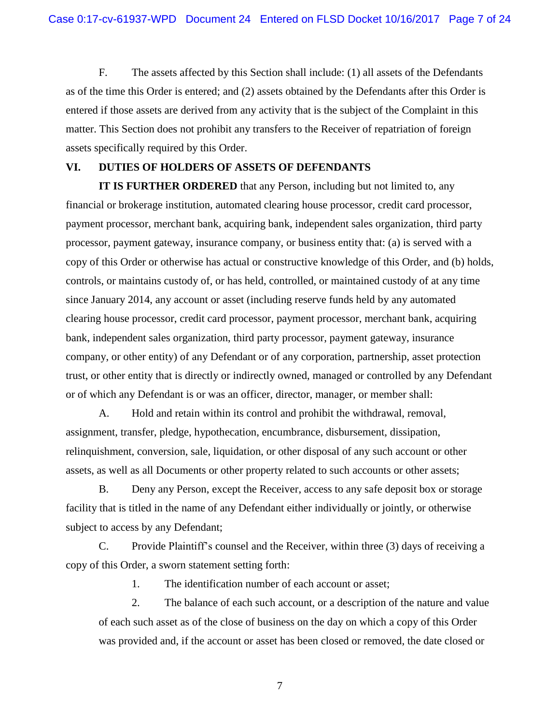F. The assets affected by this Section shall include: (1) all assets of the Defendants as of the time this Order is entered; and (2) assets obtained by the Defendants after this Order is entered if those assets are derived from any activity that is the subject of the Complaint in this matter. This Section does not prohibit any transfers to the Receiver of repatriation of foreign assets specifically required by this Order.

#### **VI. DUTIES OF HOLDERS OF ASSETS OF DEFENDANTS**

**IT IS FURTHER ORDERED** that any Person, including but not limited to, any financial or brokerage institution, automated clearing house processor, credit card processor, payment processor, merchant bank, acquiring bank, independent sales organization, third party processor, payment gateway, insurance company, or business entity that: (a) is served with a copy of this Order or otherwise has actual or constructive knowledge of this Order, and (b) holds, controls, or maintains custody of, or has held, controlled, or maintained custody of at any time since January 2014, any account or asset (including reserve funds held by any automated clearing house processor, credit card processor, payment processor, merchant bank, acquiring bank, independent sales organization, third party processor, payment gateway, insurance company, or other entity) of any Defendant or of any corporation, partnership, asset protection trust, or other entity that is directly or indirectly owned, managed or controlled by any Defendant or of which any Defendant is or was an officer, director, manager, or member shall:

A. Hold and retain within its control and prohibit the withdrawal, removal, assignment, transfer, pledge, hypothecation, encumbrance, disbursement, dissipation, relinquishment, conversion, sale, liquidation, or other disposal of any such account or other assets, as well as all Documents or other property related to such accounts or other assets;

B. Deny any Person, except the Receiver, access to any safe deposit box or storage facility that is titled in the name of any Defendant either individually or jointly, or otherwise subject to access by any Defendant;

C. Provide Plaintiff's counsel and the Receiver, within three (3) days of receiving a copy of this Order, a sworn statement setting forth:

1. The identification number of each account or asset;

2. The balance of each such account, or a description of the nature and value of each such asset as of the close of business on the day on which a copy of this Order was provided and, if the account or asset has been closed or removed, the date closed or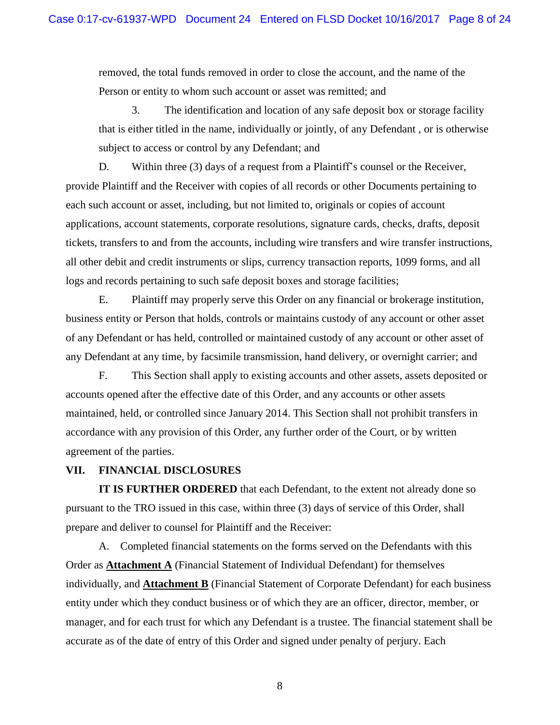removed, the total funds removed in order to close the account, and the name of the Person or entity to whom such account or asset was remitted; and

3. The identification and location of any safe deposit box or storage facility that is either titled in the name, individually or jointly, of any Defendant , or is otherwise subject to access or control by any Defendant; and

D. Within three (3) days of a request from a Plaintiff's counsel or the Receiver, provide Plaintiff and the Receiver with copies of all records or other Documents pertaining to each such account or asset, including, but not limited to, originals or copies of account applications, account statements, corporate resolutions, signature cards, checks, drafts, deposit tickets, transfers to and from the accounts, including wire transfers and wire transfer instructions, all other debit and credit instruments or slips, currency transaction reports, 1099 forms, and all logs and records pertaining to such safe deposit boxes and storage facilities;

E. Plaintiff may properly serve this Order on any financial or brokerage institution, business entity or Person that holds, controls or maintains custody of any account or other asset of any Defendant or has held, controlled or maintained custody of any account or other asset of any Defendant at any time, by facsimile transmission, hand delivery, or overnight carrier; and

F. This Section shall apply to existing accounts and other assets, assets deposited or accounts opened after the effective date of this Order, and any accounts or other assets maintained, held, or controlled since January 2014. This Section shall not prohibit transfers in accordance with any provision of this Order, any further order of the Court, or by written agreement of the parties.

#### **VII. FINANCIAL DISCLOSURES**

**IT IS FURTHER ORDERED** that each Defendant, to the extent not already done so pursuant to the TRO issued in this case, within three (3) days of service of this Order, shall prepare and deliver to counsel for Plaintiff and the Receiver:

A. Completed financial statements on the forms served on the Defendants with this Order as **Attachment A** (Financial Statement of Individual Defendant) for themselves individually, and **Attachment B** (Financial Statement of Corporate Defendant) for each business entity under which they conduct business or of which they are an officer, director, member, or manager, and for each trust for which any Defendant is a trustee. The financial statement shall be accurate as of the date of entry of this Order and signed under penalty of perjury. Each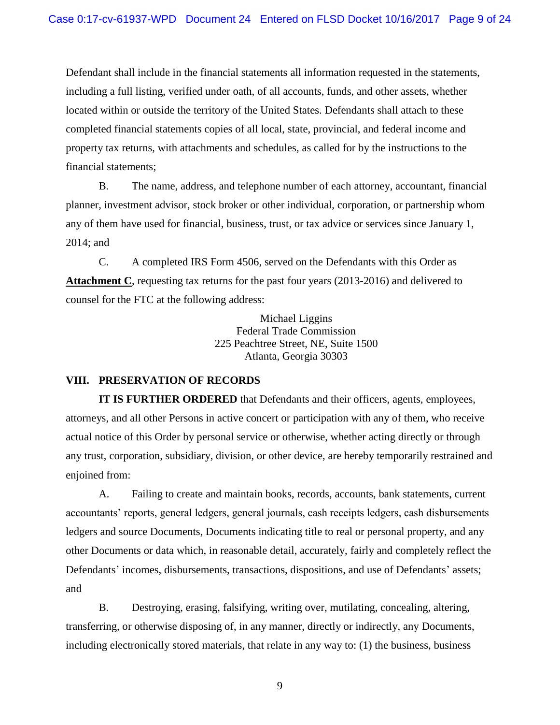Defendant shall include in the financial statements all information requested in the statements, including a full listing, verified under oath, of all accounts, funds, and other assets, whether located within or outside the territory of the United States. Defendants shall attach to these completed financial statements copies of all local, state, provincial, and federal income and property tax returns, with attachments and schedules, as called for by the instructions to the financial statements;

B. The name, address, and telephone number of each attorney, accountant, financial planner, investment advisor, stock broker or other individual, corporation, or partnership whom any of them have used for financial, business, trust, or tax advice or services since January 1, 2014; and

C. A completed IRS Form 4506, served on the Defendants with this Order as **Attachment C**, requesting tax returns for the past four years (2013-2016) and delivered to counsel for the FTC at the following address:

> Michael Liggins Federal Trade Commission 225 Peachtree Street, NE, Suite 1500 Atlanta, Georgia 30303

## **VIII. PRESERVATION OF RECORDS**

**IT IS FURTHER ORDERED** that Defendants and their officers, agents, employees, attorneys, and all other Persons in active concert or participation with any of them, who receive actual notice of this Order by personal service or otherwise, whether acting directly or through any trust, corporation, subsidiary, division, or other device, are hereby temporarily restrained and enjoined from:

A. Failing to create and maintain books, records, accounts, bank statements, current accountants' reports, general ledgers, general journals, cash receipts ledgers, cash disbursements ledgers and source Documents, Documents indicating title to real or personal property, and any other Documents or data which, in reasonable detail, accurately, fairly and completely reflect the Defendants' incomes, disbursements, transactions, dispositions, and use of Defendants' assets; and

B. Destroying, erasing, falsifying, writing over, mutilating, concealing, altering, transferring, or otherwise disposing of, in any manner, directly or indirectly, any Documents, including electronically stored materials, that relate in any way to: (1) the business, business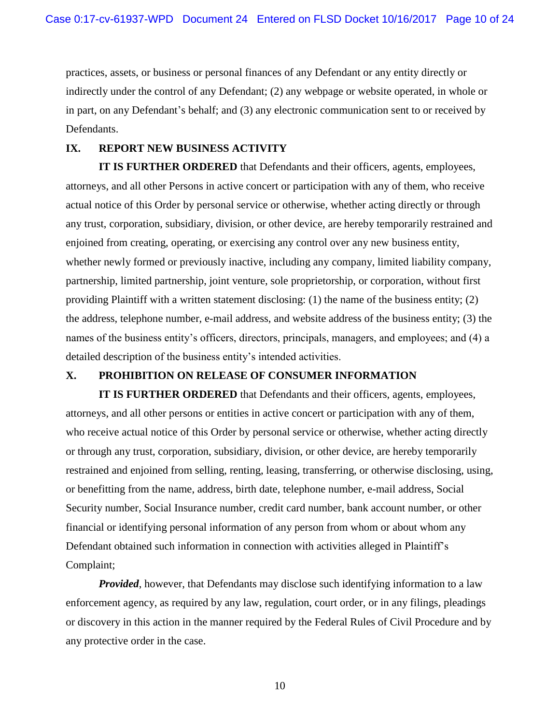practices, assets, or business or personal finances of any Defendant or any entity directly or indirectly under the control of any Defendant; (2) any webpage or website operated, in whole or in part, on any Defendant's behalf; and (3) any electronic communication sent to or received by Defendants.

#### **IX. REPORT NEW BUSINESS ACTIVITY**

**IT IS FURTHER ORDERED** that Defendants and their officers, agents, employees, attorneys, and all other Persons in active concert or participation with any of them, who receive actual notice of this Order by personal service or otherwise, whether acting directly or through any trust, corporation, subsidiary, division, or other device, are hereby temporarily restrained and enjoined from creating, operating, or exercising any control over any new business entity, whether newly formed or previously inactive, including any company, limited liability company, partnership, limited partnership, joint venture, sole proprietorship, or corporation, without first providing Plaintiff with a written statement disclosing: (1) the name of the business entity; (2) the address, telephone number, e-mail address, and website address of the business entity; (3) the names of the business entity's officers, directors, principals, managers, and employees; and (4) a detailed description of the business entity's intended activities.

## **X. PROHIBITION ON RELEASE OF CONSUMER INFORMATION**

**IT IS FURTHER ORDERED** that Defendants and their officers, agents, employees, attorneys, and all other persons or entities in active concert or participation with any of them, who receive actual notice of this Order by personal service or otherwise, whether acting directly or through any trust, corporation, subsidiary, division, or other device, are hereby temporarily restrained and enjoined from selling, renting, leasing, transferring, or otherwise disclosing, using, or benefitting from the name, address, birth date, telephone number, e-mail address, Social Security number, Social Insurance number, credit card number, bank account number, or other financial or identifying personal information of any person from whom or about whom any Defendant obtained such information in connection with activities alleged in Plaintiff's Complaint;

*Provided*, however, that Defendants may disclose such identifying information to a law enforcement agency, as required by any law, regulation, court order, or in any filings, pleadings or discovery in this action in the manner required by the Federal Rules of Civil Procedure and by any protective order in the case.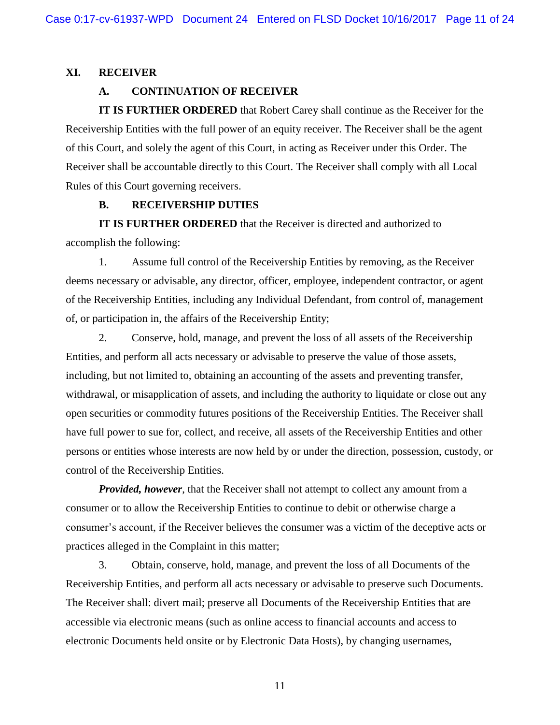#### **XI. RECEIVER**

#### **A. CONTINUATION OF RECEIVER**

**IT IS FURTHER ORDERED** that Robert Carey shall continue as the Receiver for the Receivership Entities with the full power of an equity receiver. The Receiver shall be the agent of this Court, and solely the agent of this Court, in acting as Receiver under this Order. The Receiver shall be accountable directly to this Court. The Receiver shall comply with all Local Rules of this Court governing receivers.

#### **B. RECEIVERSHIP DUTIES**

**IT IS FURTHER ORDERED** that the Receiver is directed and authorized to accomplish the following:

1. Assume full control of the Receivership Entities by removing, as the Receiver deems necessary or advisable, any director, officer, employee, independent contractor, or agent of the Receivership Entities, including any Individual Defendant, from control of, management of, or participation in, the affairs of the Receivership Entity;

2. Conserve, hold, manage, and prevent the loss of all assets of the Receivership Entities, and perform all acts necessary or advisable to preserve the value of those assets, including, but not limited to, obtaining an accounting of the assets and preventing transfer, withdrawal, or misapplication of assets, and including the authority to liquidate or close out any open securities or commodity futures positions of the Receivership Entities. The Receiver shall have full power to sue for, collect, and receive, all assets of the Receivership Entities and other persons or entities whose interests are now held by or under the direction, possession, custody, or control of the Receivership Entities.

*Provided, however*, that the Receiver shall not attempt to collect any amount from a consumer or to allow the Receivership Entities to continue to debit or otherwise charge a consumer's account, if the Receiver believes the consumer was a victim of the deceptive acts or practices alleged in the Complaint in this matter;

3. Obtain, conserve, hold, manage, and prevent the loss of all Documents of the Receivership Entities, and perform all acts necessary or advisable to preserve such Documents. The Receiver shall: divert mail; preserve all Documents of the Receivership Entities that are accessible via electronic means (such as online access to financial accounts and access to electronic Documents held onsite or by Electronic Data Hosts), by changing usernames,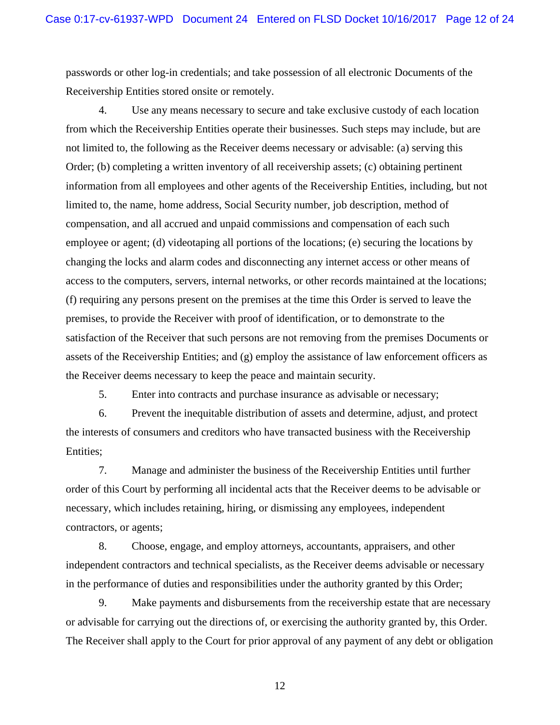passwords or other log-in credentials; and take possession of all electronic Documents of the Receivership Entities stored onsite or remotely.

4. Use any means necessary to secure and take exclusive custody of each location from which the Receivership Entities operate their businesses. Such steps may include, but are not limited to, the following as the Receiver deems necessary or advisable: (a) serving this Order; (b) completing a written inventory of all receivership assets; (c) obtaining pertinent information from all employees and other agents of the Receivership Entities, including, but not limited to, the name, home address, Social Security number, job description, method of compensation, and all accrued and unpaid commissions and compensation of each such employee or agent; (d) videotaping all portions of the locations; (e) securing the locations by changing the locks and alarm codes and disconnecting any internet access or other means of access to the computers, servers, internal networks, or other records maintained at the locations; (f) requiring any persons present on the premises at the time this Order is served to leave the premises, to provide the Receiver with proof of identification, or to demonstrate to the satisfaction of the Receiver that such persons are not removing from the premises Documents or assets of the Receivership Entities; and (g) employ the assistance of law enforcement officers as the Receiver deems necessary to keep the peace and maintain security.

5. Enter into contracts and purchase insurance as advisable or necessary;

6. Prevent the inequitable distribution of assets and determine, adjust, and protect the interests of consumers and creditors who have transacted business with the Receivership Entities;

7. Manage and administer the business of the Receivership Entities until further order of this Court by performing all incidental acts that the Receiver deems to be advisable or necessary, which includes retaining, hiring, or dismissing any employees, independent contractors, or agents;

8. Choose, engage, and employ attorneys, accountants, appraisers, and other independent contractors and technical specialists, as the Receiver deems advisable or necessary in the performance of duties and responsibilities under the authority granted by this Order;

9. Make payments and disbursements from the receivership estate that are necessary or advisable for carrying out the directions of, or exercising the authority granted by, this Order. The Receiver shall apply to the Court for prior approval of any payment of any debt or obligation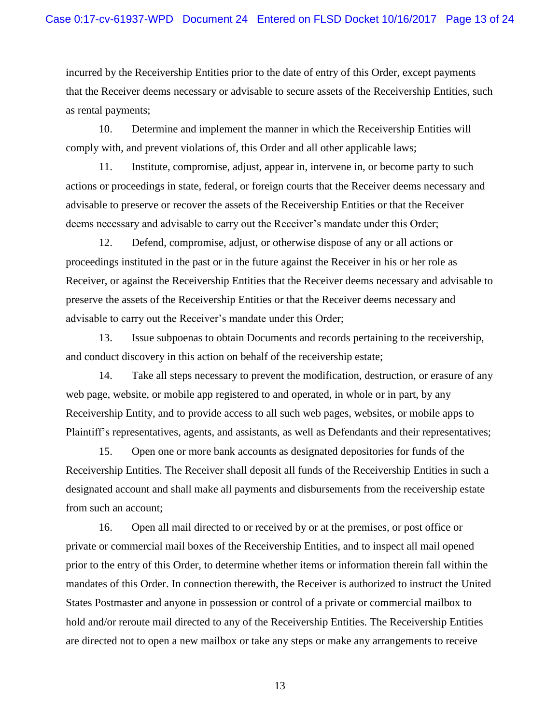incurred by the Receivership Entities prior to the date of entry of this Order, except payments that the Receiver deems necessary or advisable to secure assets of the Receivership Entities, such as rental payments;

10. Determine and implement the manner in which the Receivership Entities will comply with, and prevent violations of, this Order and all other applicable laws;

11. Institute, compromise, adjust, appear in, intervene in, or become party to such actions or proceedings in state, federal, or foreign courts that the Receiver deems necessary and advisable to preserve or recover the assets of the Receivership Entities or that the Receiver deems necessary and advisable to carry out the Receiver's mandate under this Order;

12. Defend, compromise, adjust, or otherwise dispose of any or all actions or proceedings instituted in the past or in the future against the Receiver in his or her role as Receiver, or against the Receivership Entities that the Receiver deems necessary and advisable to preserve the assets of the Receivership Entities or that the Receiver deems necessary and advisable to carry out the Receiver's mandate under this Order;

13. Issue subpoenas to obtain Documents and records pertaining to the receivership, and conduct discovery in this action on behalf of the receivership estate;

14. Take all steps necessary to prevent the modification, destruction, or erasure of any web page, website, or mobile app registered to and operated, in whole or in part, by any Receivership Entity, and to provide access to all such web pages, websites, or mobile apps to Plaintiff's representatives, agents, and assistants, as well as Defendants and their representatives;

15. Open one or more bank accounts as designated depositories for funds of the Receivership Entities. The Receiver shall deposit all funds of the Receivership Entities in such a designated account and shall make all payments and disbursements from the receivership estate from such an account;

16. Open all mail directed to or received by or at the premises, or post office or private or commercial mail boxes of the Receivership Entities, and to inspect all mail opened prior to the entry of this Order, to determine whether items or information therein fall within the mandates of this Order. In connection therewith, the Receiver is authorized to instruct the United States Postmaster and anyone in possession or control of a private or commercial mailbox to hold and/or reroute mail directed to any of the Receivership Entities. The Receivership Entities are directed not to open a new mailbox or take any steps or make any arrangements to receive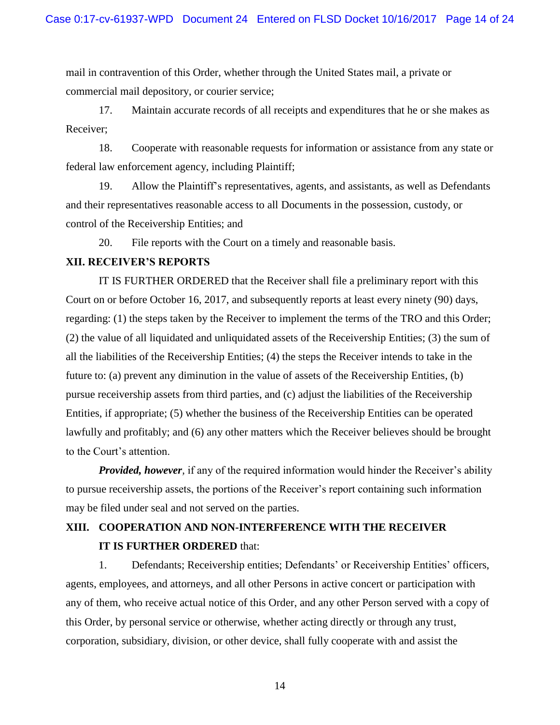mail in contravention of this Order, whether through the United States mail, a private or commercial mail depository, or courier service;

17. Maintain accurate records of all receipts and expenditures that he or she makes as Receiver;

18. Cooperate with reasonable requests for information or assistance from any state or federal law enforcement agency, including Plaintiff;

19. Allow the Plaintiff's representatives, agents, and assistants, as well as Defendants and their representatives reasonable access to all Documents in the possession, custody, or control of the Receivership Entities; and

20. File reports with the Court on a timely and reasonable basis.

#### **XII. RECEIVER'S REPORTS**

IT IS FURTHER ORDERED that the Receiver shall file a preliminary report with this Court on or before October 16, 2017, and subsequently reports at least every ninety (90) days, regarding: (1) the steps taken by the Receiver to implement the terms of the TRO and this Order; (2) the value of all liquidated and unliquidated assets of the Receivership Entities; (3) the sum of all the liabilities of the Receivership Entities; (4) the steps the Receiver intends to take in the future to: (a) prevent any diminution in the value of assets of the Receivership Entities, (b) pursue receivership assets from third parties, and (c) adjust the liabilities of the Receivership Entities, if appropriate; (5) whether the business of the Receivership Entities can be operated lawfully and profitably; and (6) any other matters which the Receiver believes should be brought to the Court's attention.

*Provided, however*, if any of the required information would hinder the Receiver's ability to pursue receivership assets, the portions of the Receiver's report containing such information may be filed under seal and not served on the parties.

# **XIII. COOPERATION AND NON-INTERFERENCE WITH THE RECEIVER IT IS FURTHER ORDERED** that:

1. Defendants; Receivership entities; Defendants' or Receivership Entities' officers, agents, employees, and attorneys, and all other Persons in active concert or participation with any of them, who receive actual notice of this Order, and any other Person served with a copy of this Order, by personal service or otherwise, whether acting directly or through any trust, corporation, subsidiary, division, or other device, shall fully cooperate with and assist the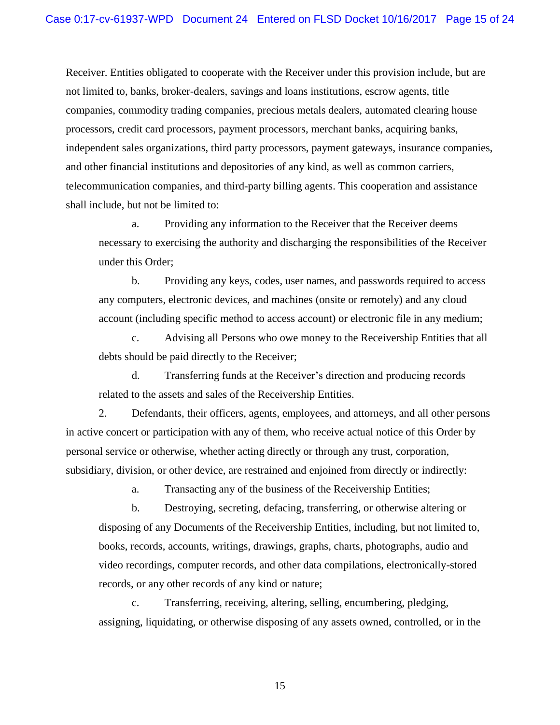Receiver. Entities obligated to cooperate with the Receiver under this provision include, but are not limited to, banks, broker-dealers, savings and loans institutions, escrow agents, title companies, commodity trading companies, precious metals dealers, automated clearing house processors, credit card processors, payment processors, merchant banks, acquiring banks, independent sales organizations, third party processors, payment gateways, insurance companies, and other financial institutions and depositories of any kind, as well as common carriers, telecommunication companies, and third-party billing agents. This cooperation and assistance shall include, but not be limited to:

a. Providing any information to the Receiver that the Receiver deems necessary to exercising the authority and discharging the responsibilities of the Receiver under this Order;

b. Providing any keys, codes, user names, and passwords required to access any computers, electronic devices, and machines (onsite or remotely) and any cloud account (including specific method to access account) or electronic file in any medium;

c. Advising all Persons who owe money to the Receivership Entities that all debts should be paid directly to the Receiver;

d. Transferring funds at the Receiver's direction and producing records related to the assets and sales of the Receivership Entities.

2. Defendants, their officers, agents, employees, and attorneys, and all other persons in active concert or participation with any of them, who receive actual notice of this Order by personal service or otherwise, whether acting directly or through any trust, corporation, subsidiary, division, or other device, are restrained and enjoined from directly or indirectly:

a. Transacting any of the business of the Receivership Entities;

b. Destroying, secreting, defacing, transferring, or otherwise altering or disposing of any Documents of the Receivership Entities, including, but not limited to, books, records, accounts, writings, drawings, graphs, charts, photographs, audio and video recordings, computer records, and other data compilations, electronically-stored records, or any other records of any kind or nature;

c. Transferring, receiving, altering, selling, encumbering, pledging, assigning, liquidating, or otherwise disposing of any assets owned, controlled, or in the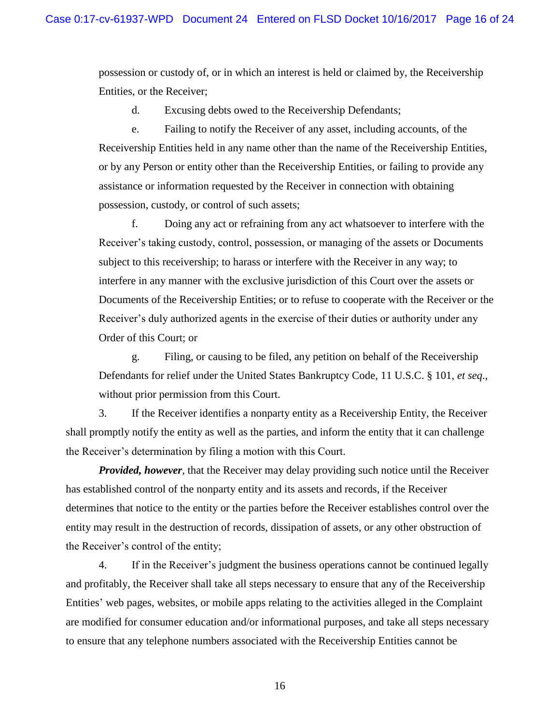possession or custody of, or in which an interest is held or claimed by, the Receivership Entities, or the Receiver;

d. Excusing debts owed to the Receivership Defendants;

e. Failing to notify the Receiver of any asset, including accounts, of the Receivership Entities held in any name other than the name of the Receivership Entities, or by any Person or entity other than the Receivership Entities, or failing to provide any assistance or information requested by the Receiver in connection with obtaining possession, custody, or control of such assets;

f. Doing any act or refraining from any act whatsoever to interfere with the Receiver's taking custody, control, possession, or managing of the assets or Documents subject to this receivership; to harass or interfere with the Receiver in any way; to interfere in any manner with the exclusive jurisdiction of this Court over the assets or Documents of the Receivership Entities; or to refuse to cooperate with the Receiver or the Receiver's duly authorized agents in the exercise of their duties or authority under any Order of this Court; or

g. Filing, or causing to be filed, any petition on behalf of the Receivership Defendants for relief under the United States Bankruptcy Code, 11 U.S.C. § 101, *et seq.*, without prior permission from this Court.

3. If the Receiver identifies a nonparty entity as a Receivership Entity, the Receiver shall promptly notify the entity as well as the parties, and inform the entity that it can challenge the Receiver's determination by filing a motion with this Court.

*Provided, however*, that the Receiver may delay providing such notice until the Receiver has established control of the nonparty entity and its assets and records, if the Receiver determines that notice to the entity or the parties before the Receiver establishes control over the entity may result in the destruction of records, dissipation of assets, or any other obstruction of the Receiver's control of the entity;

4. If in the Receiver's judgment the business operations cannot be continued legally and profitably, the Receiver shall take all steps necessary to ensure that any of the Receivership Entities' web pages, websites, or mobile apps relating to the activities alleged in the Complaint are modified for consumer education and/or informational purposes, and take all steps necessary to ensure that any telephone numbers associated with the Receivership Entities cannot be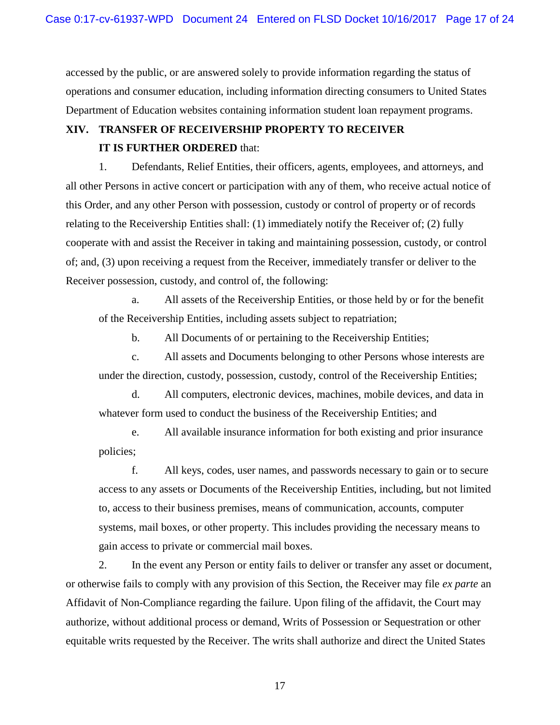accessed by the public, or are answered solely to provide information regarding the status of operations and consumer education, including information directing consumers to United States Department of Education websites containing information student loan repayment programs.

## **XIV. TRANSFER OF RECEIVERSHIP PROPERTY TO RECEIVER**

#### **IT IS FURTHER ORDERED** that:

1. Defendants, Relief Entities, their officers, agents, employees, and attorneys, and all other Persons in active concert or participation with any of them, who receive actual notice of this Order, and any other Person with possession, custody or control of property or of records relating to the Receivership Entities shall: (1) immediately notify the Receiver of; (2) fully cooperate with and assist the Receiver in taking and maintaining possession, custody, or control of; and, (3) upon receiving a request from the Receiver, immediately transfer or deliver to the Receiver possession, custody, and control of, the following:

a. All assets of the Receivership Entities, or those held by or for the benefit of the Receivership Entities, including assets subject to repatriation;

b. All Documents of or pertaining to the Receivership Entities;

c. All assets and Documents belonging to other Persons whose interests are under the direction, custody, possession, custody, control of the Receivership Entities;

d. All computers, electronic devices, machines, mobile devices, and data in whatever form used to conduct the business of the Receivership Entities; and

e. All available insurance information for both existing and prior insurance policies;

f. All keys, codes, user names, and passwords necessary to gain or to secure access to any assets or Documents of the Receivership Entities, including, but not limited to, access to their business premises, means of communication, accounts, computer systems, mail boxes, or other property. This includes providing the necessary means to gain access to private or commercial mail boxes.

2. In the event any Person or entity fails to deliver or transfer any asset or document, or otherwise fails to comply with any provision of this Section, the Receiver may file *ex parte* an Affidavit of Non-Compliance regarding the failure. Upon filing of the affidavit, the Court may authorize, without additional process or demand, Writs of Possession or Sequestration or other equitable writs requested by the Receiver. The writs shall authorize and direct the United States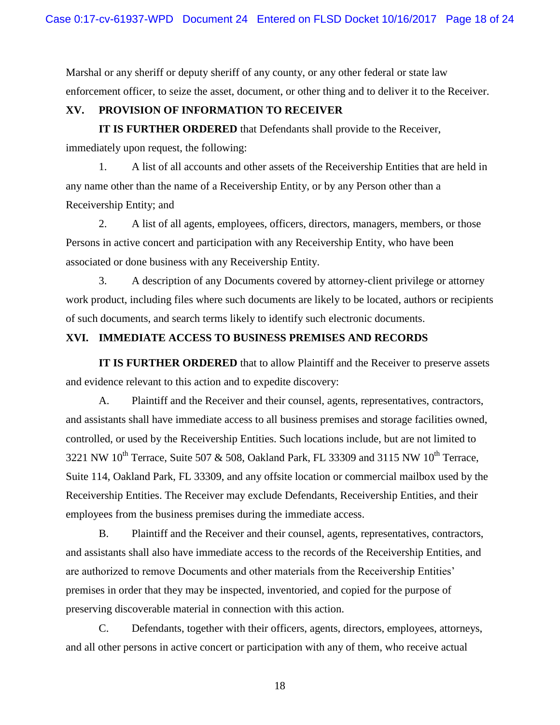Marshal or any sheriff or deputy sheriff of any county, or any other federal or state law enforcement officer, to seize the asset, document, or other thing and to deliver it to the Receiver.

## **XV. PROVISION OF INFORMATION TO RECEIVER**

**IT IS FURTHER ORDERED** that Defendants shall provide to the Receiver, immediately upon request, the following:

1. A list of all accounts and other assets of the Receivership Entities that are held in any name other than the name of a Receivership Entity, or by any Person other than a Receivership Entity; and

2. A list of all agents, employees, officers, directors, managers, members, or those Persons in active concert and participation with any Receivership Entity, who have been associated or done business with any Receivership Entity.

3. A description of any Documents covered by attorney-client privilege or attorney work product, including files where such documents are likely to be located, authors or recipients of such documents, and search terms likely to identify such electronic documents.

## **XVI. IMMEDIATE ACCESS TO BUSINESS PREMISES AND RECORDS**

**IT IS FURTHER ORDERED** that to allow Plaintiff and the Receiver to preserve assets and evidence relevant to this action and to expedite discovery:

A. Plaintiff and the Receiver and their counsel, agents, representatives, contractors, and assistants shall have immediate access to all business premises and storage facilities owned, controlled, or used by the Receivership Entities. Such locations include, but are not limited to 3221 NW  $10^{th}$  Terrace, Suite 507 & 508, Oakland Park, FL 33309 and 3115 NW  $10^{th}$  Terrace, Suite 114, Oakland Park, FL 33309, and any offsite location or commercial mailbox used by the Receivership Entities. The Receiver may exclude Defendants, Receivership Entities, and their employees from the business premises during the immediate access.

B. Plaintiff and the Receiver and their counsel, agents, representatives, contractors, and assistants shall also have immediate access to the records of the Receivership Entities, and are authorized to remove Documents and other materials from the Receivership Entities' premises in order that they may be inspected, inventoried, and copied for the purpose of preserving discoverable material in connection with this action.

C. Defendants, together with their officers, agents, directors, employees, attorneys, and all other persons in active concert or participation with any of them, who receive actual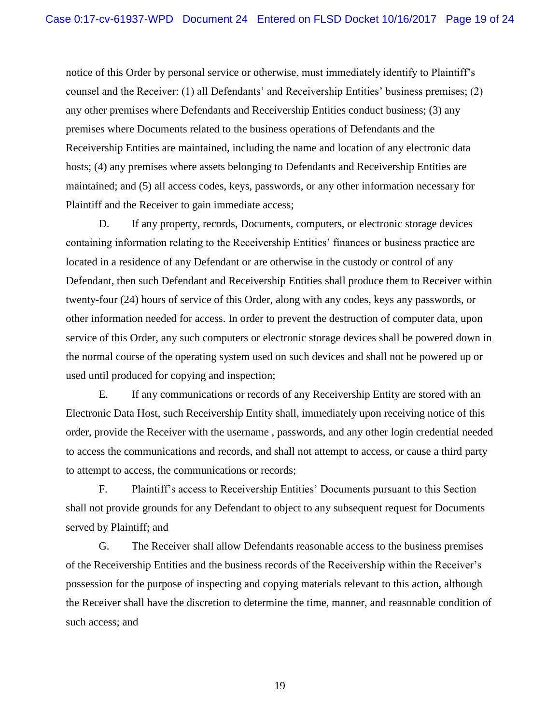notice of this Order by personal service or otherwise, must immediately identify to Plaintiff's counsel and the Receiver: (1) all Defendants' and Receivership Entities' business premises; (2) any other premises where Defendants and Receivership Entities conduct business; (3) any premises where Documents related to the business operations of Defendants and the Receivership Entities are maintained, including the name and location of any electronic data hosts; (4) any premises where assets belonging to Defendants and Receivership Entities are maintained; and (5) all access codes, keys, passwords, or any other information necessary for Plaintiff and the Receiver to gain immediate access;

D. If any property, records, Documents, computers, or electronic storage devices containing information relating to the Receivership Entities' finances or business practice are located in a residence of any Defendant or are otherwise in the custody or control of any Defendant, then such Defendant and Receivership Entities shall produce them to Receiver within twenty-four (24) hours of service of this Order, along with any codes, keys any passwords, or other information needed for access. In order to prevent the destruction of computer data, upon service of this Order, any such computers or electronic storage devices shall be powered down in the normal course of the operating system used on such devices and shall not be powered up or used until produced for copying and inspection;

E. If any communications or records of any Receivership Entity are stored with an Electronic Data Host, such Receivership Entity shall, immediately upon receiving notice of this order, provide the Receiver with the username , passwords, and any other login credential needed to access the communications and records, and shall not attempt to access, or cause a third party to attempt to access, the communications or records;

F. Plaintiff's access to Receivership Entities' Documents pursuant to this Section shall not provide grounds for any Defendant to object to any subsequent request for Documents served by Plaintiff; and

G. The Receiver shall allow Defendants reasonable access to the business premises of the Receivership Entities and the business records of the Receivership within the Receiver's possession for the purpose of inspecting and copying materials relevant to this action, although the Receiver shall have the discretion to determine the time, manner, and reasonable condition of such access; and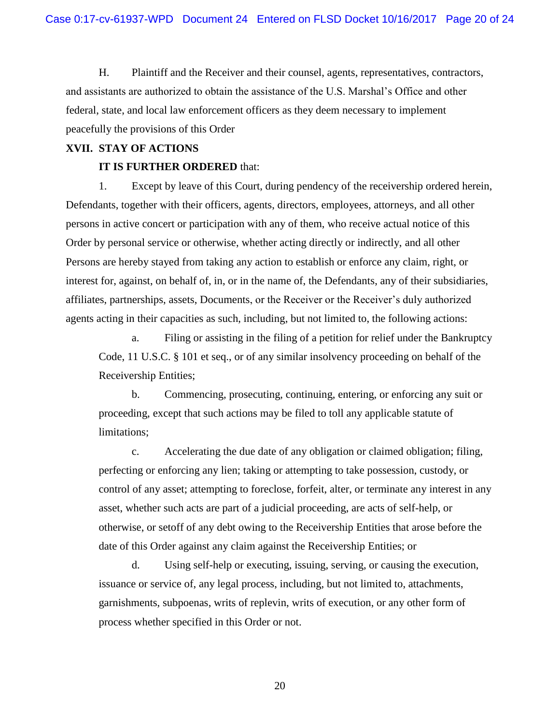H. Plaintiff and the Receiver and their counsel, agents, representatives, contractors, and assistants are authorized to obtain the assistance of the U.S. Marshal's Office and other federal, state, and local law enforcement officers as they deem necessary to implement peacefully the provisions of this Order

#### **XVII. STAY OF ACTIONS**

## **IT IS FURTHER ORDERED** that:

1. Except by leave of this Court, during pendency of the receivership ordered herein, Defendants, together with their officers, agents, directors, employees, attorneys, and all other persons in active concert or participation with any of them, who receive actual notice of this Order by personal service or otherwise, whether acting directly or indirectly, and all other Persons are hereby stayed from taking any action to establish or enforce any claim, right, or interest for, against, on behalf of, in, or in the name of, the Defendants, any of their subsidiaries, affiliates, partnerships, assets, Documents, or the Receiver or the Receiver's duly authorized agents acting in their capacities as such, including, but not limited to, the following actions:

a. Filing or assisting in the filing of a petition for relief under the Bankruptcy Code, 11 U.S.C. § 101 et seq., or of any similar insolvency proceeding on behalf of the Receivership Entities;

b. Commencing, prosecuting, continuing, entering, or enforcing any suit or proceeding, except that such actions may be filed to toll any applicable statute of limitations;

c. Accelerating the due date of any obligation or claimed obligation; filing, perfecting or enforcing any lien; taking or attempting to take possession, custody, or control of any asset; attempting to foreclose, forfeit, alter, or terminate any interest in any asset, whether such acts are part of a judicial proceeding, are acts of self-help, or otherwise, or setoff of any debt owing to the Receivership Entities that arose before the date of this Order against any claim against the Receivership Entities; or

d. Using self-help or executing, issuing, serving, or causing the execution, issuance or service of, any legal process, including, but not limited to, attachments, garnishments, subpoenas, writs of replevin, writs of execution, or any other form of process whether specified in this Order or not.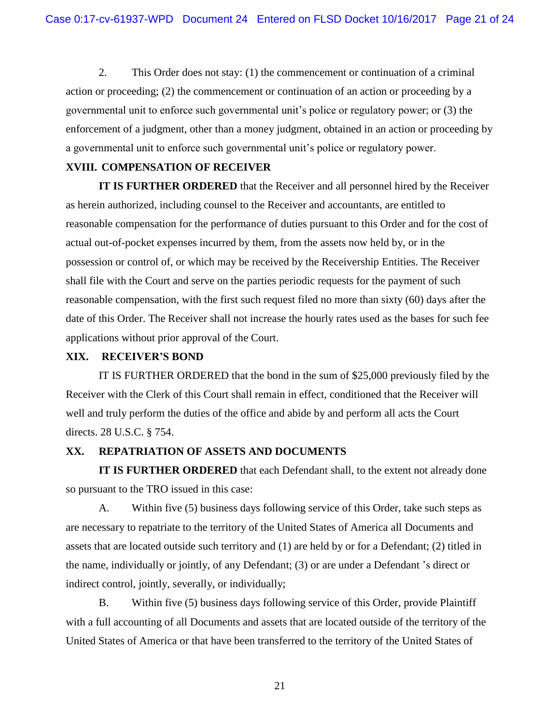2. This Order does not stay: (1) the commencement or continuation of a criminal action or proceeding; (2) the commencement or continuation of an action or proceeding by a governmental unit to enforce such governmental unit's police or regulatory power; or (3) the enforcement of a judgment, other than a money judgment, obtained in an action or proceeding by a governmental unit to enforce such governmental unit's police or regulatory power.

### **XVIII. COMPENSATION OF RECEIVER**

**IT IS FURTHER ORDERED** that the Receiver and all personnel hired by the Receiver as herein authorized, including counsel to the Receiver and accountants, are entitled to reasonable compensation for the performance of duties pursuant to this Order and for the cost of actual out-of-pocket expenses incurred by them, from the assets now held by, or in the possession or control of, or which may be received by the Receivership Entities. The Receiver shall file with the Court and serve on the parties periodic requests for the payment of such reasonable compensation, with the first such request filed no more than sixty (60) days after the date of this Order. The Receiver shall not increase the hourly rates used as the bases for such fee applications without prior approval of the Court.

#### **XIX. RECEIVER'S BOND**

IT IS FURTHER ORDERED that the bond in the sum of \$25,000 previously filed by the Receiver with the Clerk of this Court shall remain in effect, conditioned that the Receiver will well and truly perform the duties of the office and abide by and perform all acts the Court directs. 28 U.S.C. § 754.

## **XX. REPATRIATION OF ASSETS AND DOCUMENTS**

**IT IS FURTHER ORDERED** that each Defendant shall, to the extent not already done so pursuant to the TRO issued in this case:

A. Within five (5) business days following service of this Order, take such steps as are necessary to repatriate to the territory of the United States of America all Documents and assets that are located outside such territory and (1) are held by or for a Defendant; (2) titled in the name, individually or jointly, of any Defendant; (3) or are under a Defendant 's direct or indirect control, jointly, severally, or individually;

B. Within five (5) business days following service of this Order, provide Plaintiff with a full accounting of all Documents and assets that are located outside of the territory of the United States of America or that have been transferred to the territory of the United States of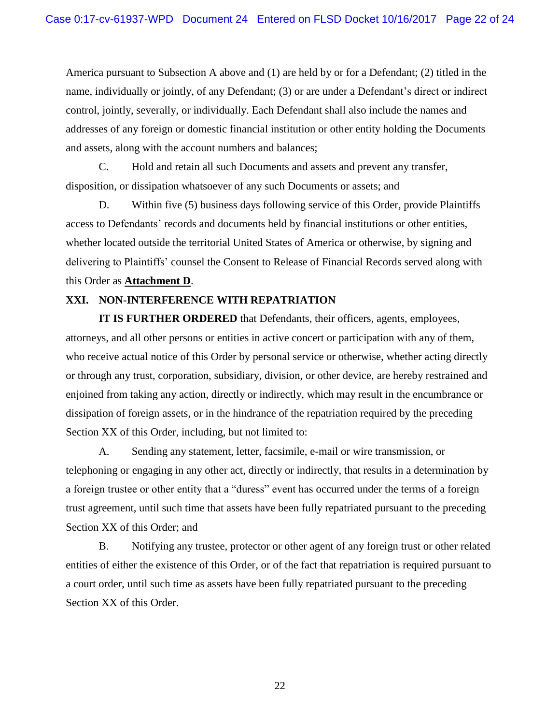America pursuant to Subsection A above and (1) are held by or for a Defendant; (2) titled in the name, individually or jointly, of any Defendant; (3) or are under a Defendant's direct or indirect control, jointly, severally, or individually. Each Defendant shall also include the names and addresses of any foreign or domestic financial institution or other entity holding the Documents and assets, along with the account numbers and balances;

C. Hold and retain all such Documents and assets and prevent any transfer, disposition, or dissipation whatsoever of any such Documents or assets; and

D. Within five (5) business days following service of this Order, provide Plaintiffs access to Defendants' records and documents held by financial institutions or other entities, whether located outside the territorial United States of America or otherwise, by signing and delivering to Plaintiffs' counsel the Consent to Release of Financial Records served along with this Order as **Attachment D**.

## **XXI. NON-INTERFERENCE WITH REPATRIATION**

**IT IS FURTHER ORDERED** that Defendants, their officers, agents, employees, attorneys, and all other persons or entities in active concert or participation with any of them, who receive actual notice of this Order by personal service or otherwise, whether acting directly or through any trust, corporation, subsidiary, division, or other device, are hereby restrained and enjoined from taking any action, directly or indirectly, which may result in the encumbrance or dissipation of foreign assets, or in the hindrance of the repatriation required by the preceding Section XX of this Order, including, but not limited to:

A. Sending any statement, letter, facsimile, e-mail or wire transmission, or telephoning or engaging in any other act, directly or indirectly, that results in a determination by a foreign trustee or other entity that a "duress" event has occurred under the terms of a foreign trust agreement, until such time that assets have been fully repatriated pursuant to the preceding Section XX of this Order; and

B. Notifying any trustee, protector or other agent of any foreign trust or other related entities of either the existence of this Order, or of the fact that repatriation is required pursuant to a court order, until such time as assets have been fully repatriated pursuant to the preceding Section XX of this Order.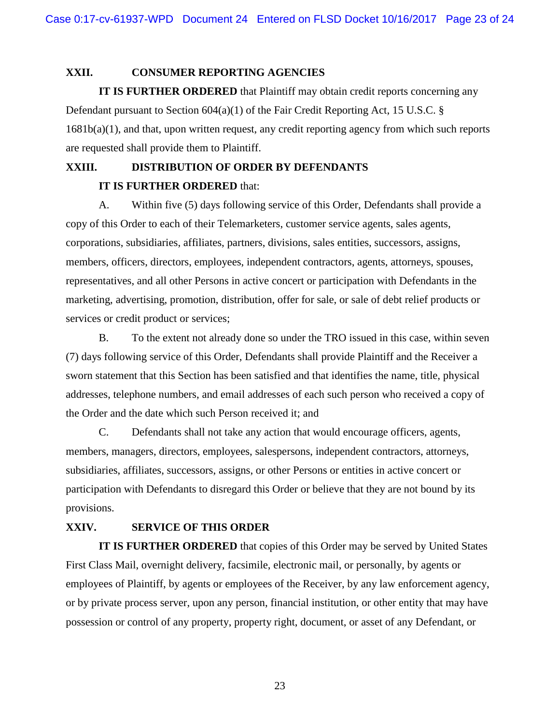#### **XXII. CONSUMER REPORTING AGENCIES**

**IT IS FURTHER ORDERED** that Plaintiff may obtain credit reports concerning any Defendant pursuant to Section 604(a)(1) of the Fair Credit Reporting Act, 15 U.S.C. § 1681b(a)(1), and that, upon written request, any credit reporting agency from which such reports are requested shall provide them to Plaintiff.

# **XXIII. DISTRIBUTION OF ORDER BY DEFENDANTS IT IS FURTHER ORDERED** that:

A. Within five (5) days following service of this Order, Defendants shall provide a copy of this Order to each of their Telemarketers, customer service agents, sales agents, corporations, subsidiaries, affiliates, partners, divisions, sales entities, successors, assigns, members, officers, directors, employees, independent contractors, agents, attorneys, spouses, representatives, and all other Persons in active concert or participation with Defendants in the marketing, advertising, promotion, distribution, offer for sale, or sale of debt relief products or services or credit product or services;

B. To the extent not already done so under the TRO issued in this case, within seven (7) days following service of this Order, Defendants shall provide Plaintiff and the Receiver a sworn statement that this Section has been satisfied and that identifies the name, title, physical addresses, telephone numbers, and email addresses of each such person who received a copy of the Order and the date which such Person received it; and

C. Defendants shall not take any action that would encourage officers, agents, members, managers, directors, employees, salespersons, independent contractors, attorneys, subsidiaries, affiliates, successors, assigns, or other Persons or entities in active concert or participation with Defendants to disregard this Order or believe that they are not bound by its provisions.

## **XXIV. SERVICE OF THIS ORDER**

**IT IS FURTHER ORDERED** that copies of this Order may be served by United States First Class Mail, overnight delivery, facsimile, electronic mail, or personally, by agents or employees of Plaintiff, by agents or employees of the Receiver, by any law enforcement agency, or by private process server, upon any person, financial institution, or other entity that may have possession or control of any property, property right, document, or asset of any Defendant, or